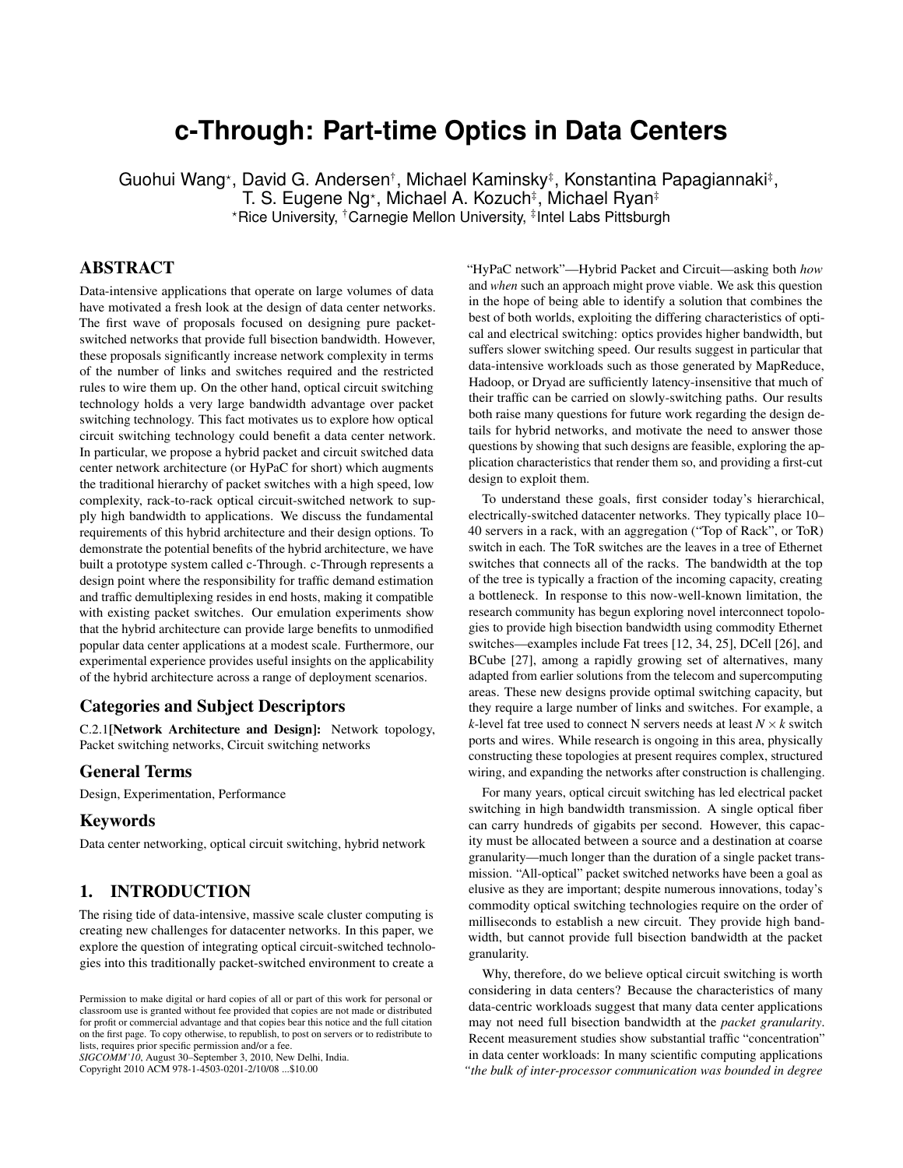# **c-Through: Part-time Optics in Data Centers**

Guohui Wang\*, David G. Andersen<sup>†</sup>, Michael Kaminsky‡, Konstantina Papagiannaki‡, T. S. Eugene Ng? , Michael A. Kozuch‡ , Michael Ryan‡ \*Rice University, <sup>†</sup>Carnegie Mellon University, <sup>‡</sup>Intel Labs Pittsburgh

# ABSTRACT

Data-intensive applications that operate on large volumes of data have motivated a fresh look at the design of data center networks. The first wave of proposals focused on designing pure packetswitched networks that provide full bisection bandwidth. However, these proposals significantly increase network complexity in terms of the number of links and switches required and the restricted rules to wire them up. On the other hand, optical circuit switching technology holds a very large bandwidth advantage over packet switching technology. This fact motivates us to explore how optical circuit switching technology could benefit a data center network. In particular, we propose a hybrid packet and circuit switched data center network architecture (or HyPaC for short) which augments the traditional hierarchy of packet switches with a high speed, low complexity, rack-to-rack optical circuit-switched network to supply high bandwidth to applications. We discuss the fundamental requirements of this hybrid architecture and their design options. To demonstrate the potential benefits of the hybrid architecture, we have built a prototype system called c-Through. c-Through represents a design point where the responsibility for traffic demand estimation and traffic demultiplexing resides in end hosts, making it compatible with existing packet switches. Our emulation experiments show that the hybrid architecture can provide large benefits to unmodified popular data center applications at a modest scale. Furthermore, our experimental experience provides useful insights on the applicability of the hybrid architecture across a range of deployment scenarios.

### Categories and Subject Descriptors

C.2.1[Network Architecture and Design]: Network topology, Packet switching networks, Circuit switching networks

### General Terms

Design, Experimentation, Performance

### Keywords

Data center networking, optical circuit switching, hybrid network

# 1. INTRODUCTION

The rising tide of data-intensive, massive scale cluster computing is creating new challenges for datacenter networks. In this paper, we explore the question of integrating optical circuit-switched technologies into this traditionally packet-switched environment to create a

*SIGCOMM'10*, August 30–September 3, 2010, New Delhi, India.

Copyright 2010 ACM 978-1-4503-0201-2/10/08 ...\$10.00

"HyPaC network"—Hybrid Packet and Circuit—asking both *how* and *when* such an approach might prove viable. We ask this question in the hope of being able to identify a solution that combines the best of both worlds, exploiting the differing characteristics of optical and electrical switching: optics provides higher bandwidth, but suffers slower switching speed. Our results suggest in particular that data-intensive workloads such as those generated by MapReduce, Hadoop, or Dryad are sufficiently latency-insensitive that much of their traffic can be carried on slowly-switching paths. Our results both raise many questions for future work regarding the design details for hybrid networks, and motivate the need to answer those questions by showing that such designs are feasible, exploring the application characteristics that render them so, and providing a first-cut design to exploit them.

To understand these goals, first consider today's hierarchical, electrically-switched datacenter networks. They typically place 10– 40 servers in a rack, with an aggregation ("Top of Rack", or ToR) switch in each. The ToR switches are the leaves in a tree of Ethernet switches that connects all of the racks. The bandwidth at the top of the tree is typically a fraction of the incoming capacity, creating a bottleneck. In response to this now-well-known limitation, the research community has begun exploring novel interconnect topologies to provide high bisection bandwidth using commodity Ethernet switches—examples include Fat trees [\[12,](#page-11-0) [34,](#page-11-1) [25\]](#page-11-2), DCell [\[26\]](#page-11-3), and BCube [\[27\]](#page-11-4), among a rapidly growing set of alternatives, many adapted from earlier solutions from the telecom and supercomputing areas. These new designs provide optimal switching capacity, but they require a large number of links and switches. For example, a *k*-level fat tree used to connect N servers needs at least  $N \times k$  switch ports and wires. While research is ongoing in this area, physically constructing these topologies at present requires complex, structured wiring, and expanding the networks after construction is challenging.

For many years, optical circuit switching has led electrical packet switching in high bandwidth transmission. A single optical fiber can carry hundreds of gigabits per second. However, this capacity must be allocated between a source and a destination at coarse granularity—much longer than the duration of a single packet transmission. "All-optical" packet switched networks have been a goal as elusive as they are important; despite numerous innovations, today's commodity optical switching technologies require on the order of milliseconds to establish a new circuit. They provide high bandwidth, but cannot provide full bisection bandwidth at the packet granularity.

Why, therefore, do we believe optical circuit switching is worth considering in data centers? Because the characteristics of many data-centric workloads suggest that many data center applications may not need full bisection bandwidth at the *packet granularity*. Recent measurement studies show substantial traffic "concentration" in data center workloads: In many scientific computing applications *"the bulk of inter-processor communication was bounded in degree*

Permission to make digital or hard copies of all or part of this work for personal or classroom use is granted without fee provided that copies are not made or distributed for profit or commercial advantage and that copies bear this notice and the full citation on the first page. To copy otherwise, to republish, to post on servers or to redistribute to lists, requires prior specific permission and/or a fee.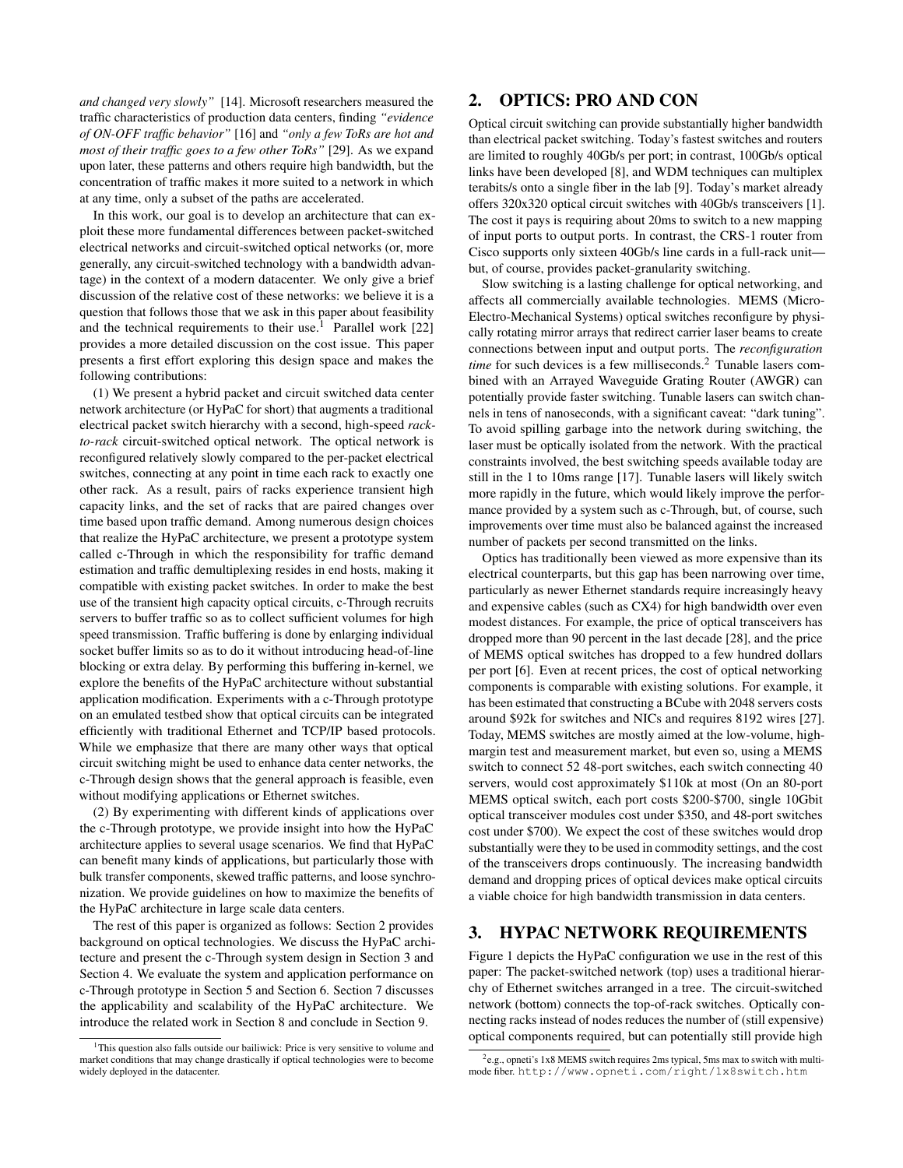*and changed very slowly"* [\[14\]](#page-11-5). Microsoft researchers measured the traffic characteristics of production data centers, finding *"evidence of ON-OFF traffic behavior"* [\[16\]](#page-11-6) and *"only a few ToRs are hot and most of their traffic goes to a few other ToRs"* [\[29\]](#page-11-7). As we expand upon later, these patterns and others require high bandwidth, but the concentration of traffic makes it more suited to a network in which at any time, only a subset of the paths are accelerated.

In this work, our goal is to develop an architecture that can exploit these more fundamental differences between packet-switched electrical networks and circuit-switched optical networks (or, more generally, any circuit-switched technology with a bandwidth advantage) in the context of a modern datacenter. We only give a brief discussion of the relative cost of these networks: we believe it is a question that follows those that we ask in this paper about feasibility and the technical requirements to their use.<sup>[1](#page-1-0)</sup> Parallel work [\[22\]](#page-11-8) provides a more detailed discussion on the cost issue. This paper presents a first effort exploring this design space and makes the following contributions:

(1) We present a hybrid packet and circuit switched data center network architecture (or HyPaC for short) that augments a traditional electrical packet switch hierarchy with a second, high-speed *rackto-rack* circuit-switched optical network. The optical network is reconfigured relatively slowly compared to the per-packet electrical switches, connecting at any point in time each rack to exactly one other rack. As a result, pairs of racks experience transient high capacity links, and the set of racks that are paired changes over time based upon traffic demand. Among numerous design choices that realize the HyPaC architecture, we present a prototype system called c-Through in which the responsibility for traffic demand estimation and traffic demultiplexing resides in end hosts, making it compatible with existing packet switches. In order to make the best use of the transient high capacity optical circuits, c-Through recruits servers to buffer traffic so as to collect sufficient volumes for high speed transmission. Traffic buffering is done by enlarging individual socket buffer limits so as to do it without introducing head-of-line blocking or extra delay. By performing this buffering in-kernel, we explore the benefits of the HyPaC architecture without substantial application modification. Experiments with a c-Through prototype on an emulated testbed show that optical circuits can be integrated efficiently with traditional Ethernet and TCP/IP based protocols. While we emphasize that there are many other ways that optical circuit switching might be used to enhance data center networks, the c-Through design shows that the general approach is feasible, even without modifying applications or Ethernet switches.

(2) By experimenting with different kinds of applications over the c-Through prototype, we provide insight into how the HyPaC architecture applies to several usage scenarios. We find that HyPaC can benefit many kinds of applications, but particularly those with bulk transfer components, skewed traffic patterns, and loose synchronization. We provide guidelines on how to maximize the benefits of the HyPaC architecture in large scale data centers.

The rest of this paper is organized as follows: Section [2](#page-1-1) provides background on optical technologies. We discuss the HyPaC architecture and present the c-Through system design in Section [3](#page-1-2) and Section [4.](#page-3-0) We evaluate the system and application performance on c-Through prototype in Section [5](#page-4-0) and Section [6.](#page-6-0) Section [7](#page-8-0) discusses the applicability and scalability of the HyPaC architecture. We introduce the related work in Section [8](#page-10-0) and conclude in Section [9.](#page-11-9)

# <span id="page-1-1"></span>2. OPTICS: PRO AND CON

Optical circuit switching can provide substantially higher bandwidth than electrical packet switching. Today's fastest switches and routers are limited to roughly 40Gb/s per port; in contrast, 100Gb/s optical links have been developed [\[8\]](#page-11-10), and WDM techniques can multiplex terabits/s onto a single fiber in the lab [\[9\]](#page-11-11). Today's market already offers 320x320 optical circuit switches with 40Gb/s transceivers [\[1\]](#page-11-12). The cost it pays is requiring about 20ms to switch to a new mapping of input ports to output ports. In contrast, the CRS-1 router from Cisco supports only sixteen 40Gb/s line cards in a full-rack unit but, of course, provides packet-granularity switching.

Slow switching is a lasting challenge for optical networking, and affects all commercially available technologies. MEMS (Micro-Electro-Mechanical Systems) optical switches reconfigure by physically rotating mirror arrays that redirect carrier laser beams to create connections between input and output ports. The *reconfiguration time* for such devices is a few milliseconds.<sup>[2](#page-1-3)</sup> Tunable lasers combined with an Arrayed Waveguide Grating Router (AWGR) can potentially provide faster switching. Tunable lasers can switch channels in tens of nanoseconds, with a significant caveat: "dark tuning". To avoid spilling garbage into the network during switching, the laser must be optically isolated from the network. With the practical constraints involved, the best switching speeds available today are still in the 1 to 10ms range [\[17\]](#page-11-13). Tunable lasers will likely switch more rapidly in the future, which would likely improve the performance provided by a system such as c-Through, but, of course, such improvements over time must also be balanced against the increased number of packets per second transmitted on the links.

Optics has traditionally been viewed as more expensive than its electrical counterparts, but this gap has been narrowing over time, particularly as newer Ethernet standards require increasingly heavy and expensive cables (such as CX4) for high bandwidth over even modest distances. For example, the price of optical transceivers has dropped more than 90 percent in the last decade [\[28\]](#page-11-14), and the price of MEMS optical switches has dropped to a few hundred dollars per port [\[6\]](#page-11-15). Even at recent prices, the cost of optical networking components is comparable with existing solutions. For example, it has been estimated that constructing a BCube with 2048 servers costs around \$92k for switches and NICs and requires 8192 wires [\[27\]](#page-11-4). Today, MEMS switches are mostly aimed at the low-volume, highmargin test and measurement market, but even so, using a MEMS switch to connect 52 48-port switches, each switch connecting 40 servers, would cost approximately \$110k at most (On an 80-port MEMS optical switch, each port costs \$200-\$700, single 10Gbit optical transceiver modules cost under \$350, and 48-port switches cost under \$700). We expect the cost of these switches would drop substantially were they to be used in commodity settings, and the cost of the transceivers drops continuously. The increasing bandwidth demand and dropping prices of optical devices make optical circuits a viable choice for high bandwidth transmission in data centers.

# <span id="page-1-2"></span>3. HYPAC NETWORK REQUIREMENTS

Figure [1](#page-2-0) depicts the HyPaC configuration we use in the rest of this paper: The packet-switched network (top) uses a traditional hierarchy of Ethernet switches arranged in a tree. The circuit-switched network (bottom) connects the top-of-rack switches. Optically connecting racks instead of nodes reduces the number of (still expensive) optical components required, but can potentially still provide high

<span id="page-1-0"></span><sup>&</sup>lt;sup>1</sup>This question also falls outside our bailiwick: Price is very sensitive to volume and market conditions that may change drastically if optical technologies were to become widely deployed in the datacenter.

<span id="page-1-3"></span><sup>&</sup>lt;sup>2</sup>e.g., opneti's 1x8 MEMS switch requires 2ms typical, 5ms max to switch with multimode fiber. <http://www.opneti.com/right/1x8switch.htm>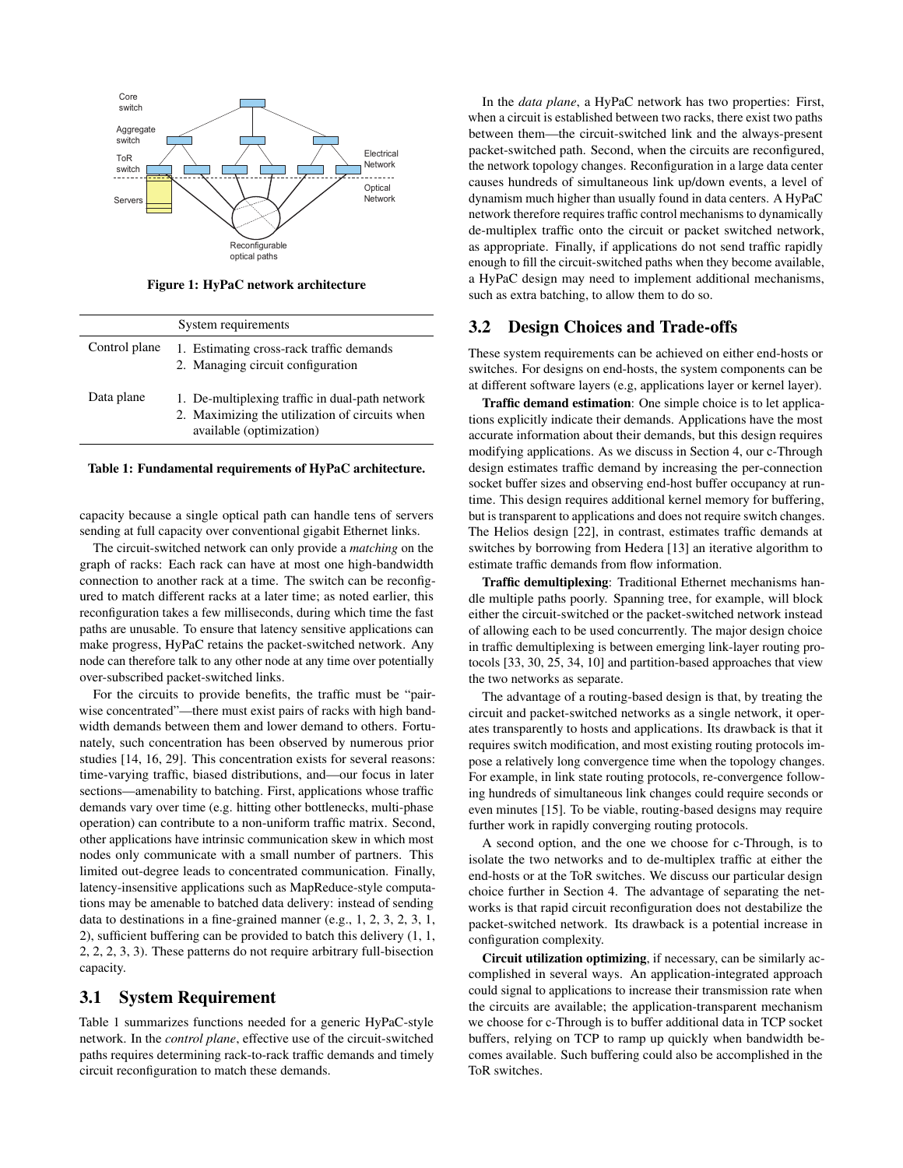

Figure 1: HyPaC network architecture

<span id="page-2-0"></span>

|               | System requirements                                                                                                           |
|---------------|-------------------------------------------------------------------------------------------------------------------------------|
| Control plane | 1. Estimating cross-rack traffic demands<br>2. Managing circuit configuration                                                 |
| Data plane    | 1. De-multiplexing traffic in dual-path network<br>2. Maximizing the utilization of circuits when<br>available (optimization) |

<span id="page-2-1"></span>Table 1: Fundamental requirements of HyPaC architecture.

capacity because a single optical path can handle tens of servers sending at full capacity over conventional gigabit Ethernet links.

The circuit-switched network can only provide a *matching* on the graph of racks: Each rack can have at most one high-bandwidth connection to another rack at a time. The switch can be reconfigured to match different racks at a later time; as noted earlier, this reconfiguration takes a few milliseconds, during which time the fast paths are unusable. To ensure that latency sensitive applications can make progress, HyPaC retains the packet-switched network. Any node can therefore talk to any other node at any time over potentially over-subscribed packet-switched links.

For the circuits to provide benefits, the traffic must be "pairwise concentrated"—there must exist pairs of racks with high bandwidth demands between them and lower demand to others. Fortunately, such concentration has been observed by numerous prior studies [\[14,](#page-11-5) [16,](#page-11-6) [29\]](#page-11-7). This concentration exists for several reasons: time-varying traffic, biased distributions, and—our focus in later sections—amenability to batching. First, applications whose traffic demands vary over time (e.g. hitting other bottlenecks, multi-phase operation) can contribute to a non-uniform traffic matrix. Second, other applications have intrinsic communication skew in which most nodes only communicate with a small number of partners. This limited out-degree leads to concentrated communication. Finally, latency-insensitive applications such as MapReduce-style computations may be amenable to batched data delivery: instead of sending data to destinations in a fine-grained manner (e.g., 1, 2, 3, 2, 3, 1, 2), sufficient buffering can be provided to batch this delivery (1, 1, 2, 2, 2, 3, 3). These patterns do not require arbitrary full-bisection capacity.

### 3.1 System Requirement

Table [1](#page-2-1) summarizes functions needed for a generic HyPaC-style network. In the *control plane*, effective use of the circuit-switched paths requires determining rack-to-rack traffic demands and timely circuit reconfiguration to match these demands.

In the *data plane*, a HyPaC network has two properties: First, when a circuit is established between two racks, there exist two paths between them—the circuit-switched link and the always-present packet-switched path. Second, when the circuits are reconfigured, the network topology changes. Reconfiguration in a large data center causes hundreds of simultaneous link up/down events, a level of dynamism much higher than usually found in data centers. A HyPaC network therefore requires traffic control mechanisms to dynamically de-multiplex traffic onto the circuit or packet switched network, as appropriate. Finally, if applications do not send traffic rapidly enough to fill the circuit-switched paths when they become available, a HyPaC design may need to implement additional mechanisms, such as extra batching, to allow them to do so.

### 3.2 Design Choices and Trade-offs

These system requirements can be achieved on either end-hosts or switches. For designs on end-hosts, the system components can be at different software layers (e.g, applications layer or kernel layer).

Traffic demand estimation: One simple choice is to let applications explicitly indicate their demands. Applications have the most accurate information about their demands, but this design requires modifying applications. As we discuss in Section [4,](#page-3-0) our c-Through design estimates traffic demand by increasing the per-connection socket buffer sizes and observing end-host buffer occupancy at runtime. This design requires additional kernel memory for buffering, but is transparent to applications and does not require switch changes. The Helios design [\[22\]](#page-11-8), in contrast, estimates traffic demands at switches by borrowing from Hedera [\[13\]](#page-11-16) an iterative algorithm to estimate traffic demands from flow information.

Traffic demultiplexing: Traditional Ethernet mechanisms handle multiple paths poorly. Spanning tree, for example, will block either the circuit-switched or the packet-switched network instead of allowing each to be used concurrently. The major design choice in traffic demultiplexing is between emerging link-layer routing protocols [\[33,](#page-11-17) [30,](#page-11-18) [25,](#page-11-2) [34,](#page-11-1) [10\]](#page-11-19) and partition-based approaches that view the two networks as separate.

The advantage of a routing-based design is that, by treating the circuit and packet-switched networks as a single network, it operates transparently to hosts and applications. Its drawback is that it requires switch modification, and most existing routing protocols impose a relatively long convergence time when the topology changes. For example, in link state routing protocols, re-convergence following hundreds of simultaneous link changes could require seconds or even minutes [\[15\]](#page-11-20). To be viable, routing-based designs may require further work in rapidly converging routing protocols.

A second option, and the one we choose for c-Through, is to isolate the two networks and to de-multiplex traffic at either the end-hosts or at the ToR switches. We discuss our particular design choice further in Section [4.](#page-3-0) The advantage of separating the networks is that rapid circuit reconfiguration does not destabilize the packet-switched network. Its drawback is a potential increase in configuration complexity.

Circuit utilization optimizing, if necessary, can be similarly accomplished in several ways. An application-integrated approach could signal to applications to increase their transmission rate when the circuits are available; the application-transparent mechanism we choose for c-Through is to buffer additional data in TCP socket buffers, relying on TCP to ramp up quickly when bandwidth becomes available. Such buffering could also be accomplished in the ToR switches.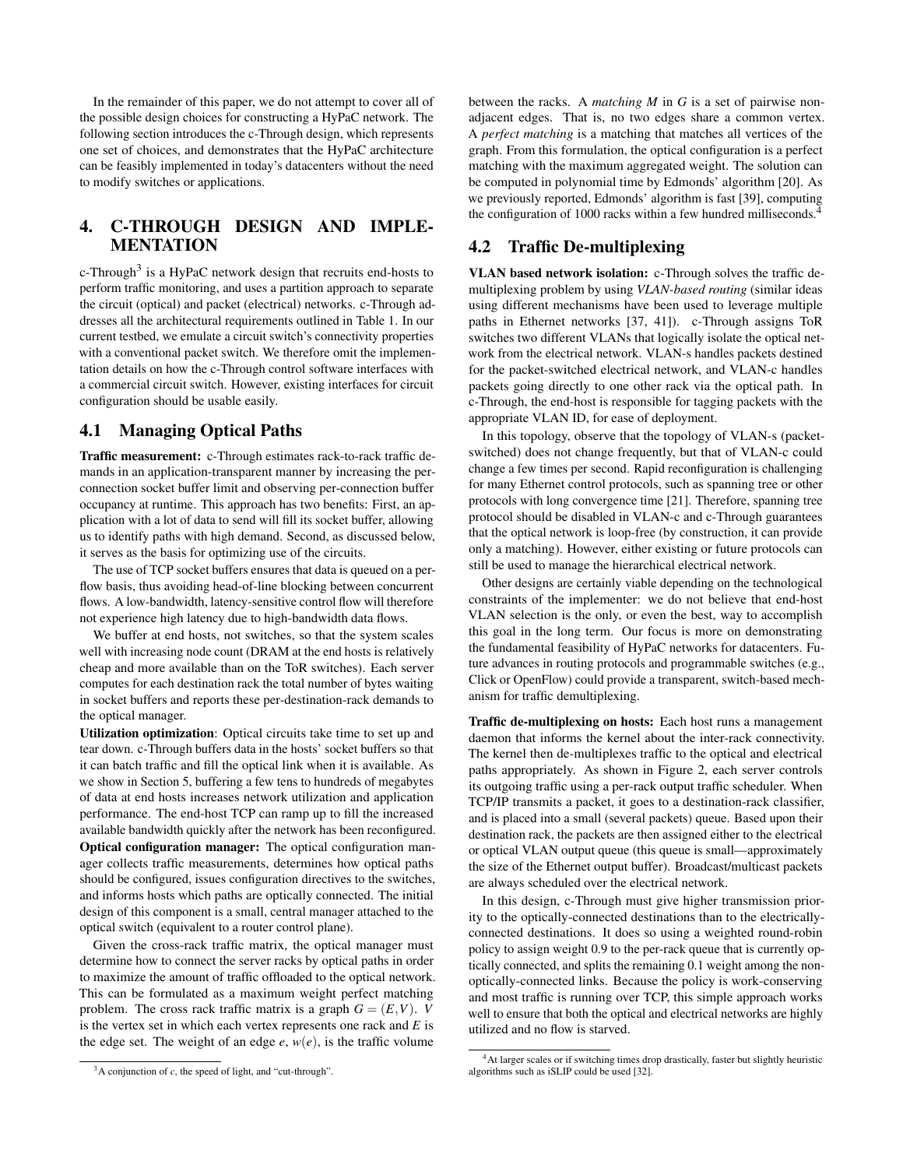In the remainder of this paper, we do not attempt to cover all of the possible design choices for constructing a HyPaC network. The following section introduces the c-Through design, which represents one set of choices, and demonstrates that the HyPaC architecture can be feasibly implemented in today's datacenters without the need to modify switches or applications.

# <span id="page-3-0"></span>4. C-THROUGH DESIGN AND IMPLE-**MENTATION**

c-Through<sup>[3](#page-3-1)</sup> is a HyPaC network design that recruits end-hosts to perform traffic monitoring, and uses a partition approach to separate the circuit (optical) and packet (electrical) networks. c-Through addresses all the architectural requirements outlined in Table [1.](#page-2-1) In our current testbed, we emulate a circuit switch's connectivity properties with a conventional packet switch. We therefore omit the implementation details on how the c-Through control software interfaces with a commercial circuit switch. However, existing interfaces for circuit configuration should be usable easily.

### 4.1 Managing Optical Paths

Traffic measurement: c-Through estimates rack-to-rack traffic demands in an application-transparent manner by increasing the perconnection socket buffer limit and observing per-connection buffer occupancy at runtime. This approach has two benefits: First, an application with a lot of data to send will fill its socket buffer, allowing us to identify paths with high demand. Second, as discussed below, it serves as the basis for optimizing use of the circuits.

The use of TCP socket buffers ensures that data is queued on a perflow basis, thus avoiding head-of-line blocking between concurrent flows. A low-bandwidth, latency-sensitive control flow will therefore not experience high latency due to high-bandwidth data flows.

We buffer at end hosts, not switches, so that the system scales well with increasing node count (DRAM at the end hosts is relatively cheap and more available than on the ToR switches). Each server computes for each destination rack the total number of bytes waiting in socket buffers and reports these per-destination-rack demands to the optical manager.

Utilization optimization: Optical circuits take time to set up and tear down. c-Through buffers data in the hosts' socket buffers so that it can batch traffic and fill the optical link when it is available. As we show in Section [5,](#page-4-0) buffering a few tens to hundreds of megabytes of data at end hosts increases network utilization and application performance. The end-host TCP can ramp up to fill the increased available bandwidth quickly after the network has been reconfigured. Optical configuration manager: The optical configuration manager collects traffic measurements, determines how optical paths should be configured, issues configuration directives to the switches, and informs hosts which paths are optically connected. The initial design of this component is a small, central manager attached to the optical switch (equivalent to a router control plane).

Given the cross-rack traffic matrix, the optical manager must determine how to connect the server racks by optical paths in order to maximize the amount of traffic offloaded to the optical network. This can be formulated as a maximum weight perfect matching problem. The cross rack traffic matrix is a graph  $G = (E, V)$ . *V* is the vertex set in which each vertex represents one rack and *E* is the edge set. The weight of an edge  $e$ ,  $w(e)$ , is the traffic volume

<span id="page-3-1"></span> $3A$  conjunction of *c*, the speed of light, and "cut-through".

between the racks. A *matching M* in *G* is a set of pairwise nonadjacent edges. That is, no two edges share a common vertex. A *perfect matching* is a matching that matches all vertices of the graph. From this formulation, the optical configuration is a perfect matching with the maximum aggregated weight. The solution can be computed in polynomial time by Edmonds' algorithm [\[20\]](#page-11-21). As we previously reported, Edmonds' algorithm is fast [\[39\]](#page-11-22), computing the configuration of 1000 racks within a few hundred milliseconds.<sup>[4](#page-3-2)</sup>

# 4.2 Traffic De-multiplexing

VLAN based network isolation: c-Through solves the traffic demultiplexing problem by using *VLAN-based routing* (similar ideas using different mechanisms have been used to leverage multiple paths in Ethernet networks [\[37,](#page-11-23) [41\]](#page-11-24)). c-Through assigns ToR switches two different VLANs that logically isolate the optical network from the electrical network. VLAN-s handles packets destined for the packet-switched electrical network, and VLAN-c handles packets going directly to one other rack via the optical path. In c-Through, the end-host is responsible for tagging packets with the appropriate VLAN ID, for ease of deployment.

In this topology, observe that the topology of VLAN-s (packetswitched) does not change frequently, but that of VLAN-c could change a few times per second. Rapid reconfiguration is challenging for many Ethernet control protocols, such as spanning tree or other protocols with long convergence time [\[21\]](#page-11-25). Therefore, spanning tree protocol should be disabled in VLAN-c and c-Through guarantees that the optical network is loop-free (by construction, it can provide only a matching). However, either existing or future protocols can still be used to manage the hierarchical electrical network.

Other designs are certainly viable depending on the technological constraints of the implementer: we do not believe that end-host VLAN selection is the only, or even the best, way to accomplish this goal in the long term. Our focus is more on demonstrating the fundamental feasibility of HyPaC networks for datacenters. Future advances in routing protocols and programmable switches (e.g., Click or OpenFlow) could provide a transparent, switch-based mechanism for traffic demultiplexing.

Traffic de-multiplexing on hosts: Each host runs a management daemon that informs the kernel about the inter-rack connectivity. The kernel then de-multiplexes traffic to the optical and electrical paths appropriately. As shown in Figure [2,](#page-4-1) each server controls its outgoing traffic using a per-rack output traffic scheduler. When TCP/IP transmits a packet, it goes to a destination-rack classifier, and is placed into a small (several packets) queue. Based upon their destination rack, the packets are then assigned either to the electrical or optical VLAN output queue (this queue is small—approximately the size of the Ethernet output buffer). Broadcast/multicast packets are always scheduled over the electrical network.

In this design, c-Through must give higher transmission priority to the optically-connected destinations than to the electricallyconnected destinations. It does so using a weighted round-robin policy to assign weight 0.9 to the per-rack queue that is currently optically connected, and splits the remaining 0.1 weight among the nonoptically-connected links. Because the policy is work-conserving and most traffic is running over TCP, this simple approach works well to ensure that both the optical and electrical networks are highly utilized and no flow is starved.

<span id="page-3-2"></span><sup>4</sup>At larger scales or if switching times drop drastically, faster but slightly heuristic algorithms such as iSLIP could be used [\[32\]](#page-11-26).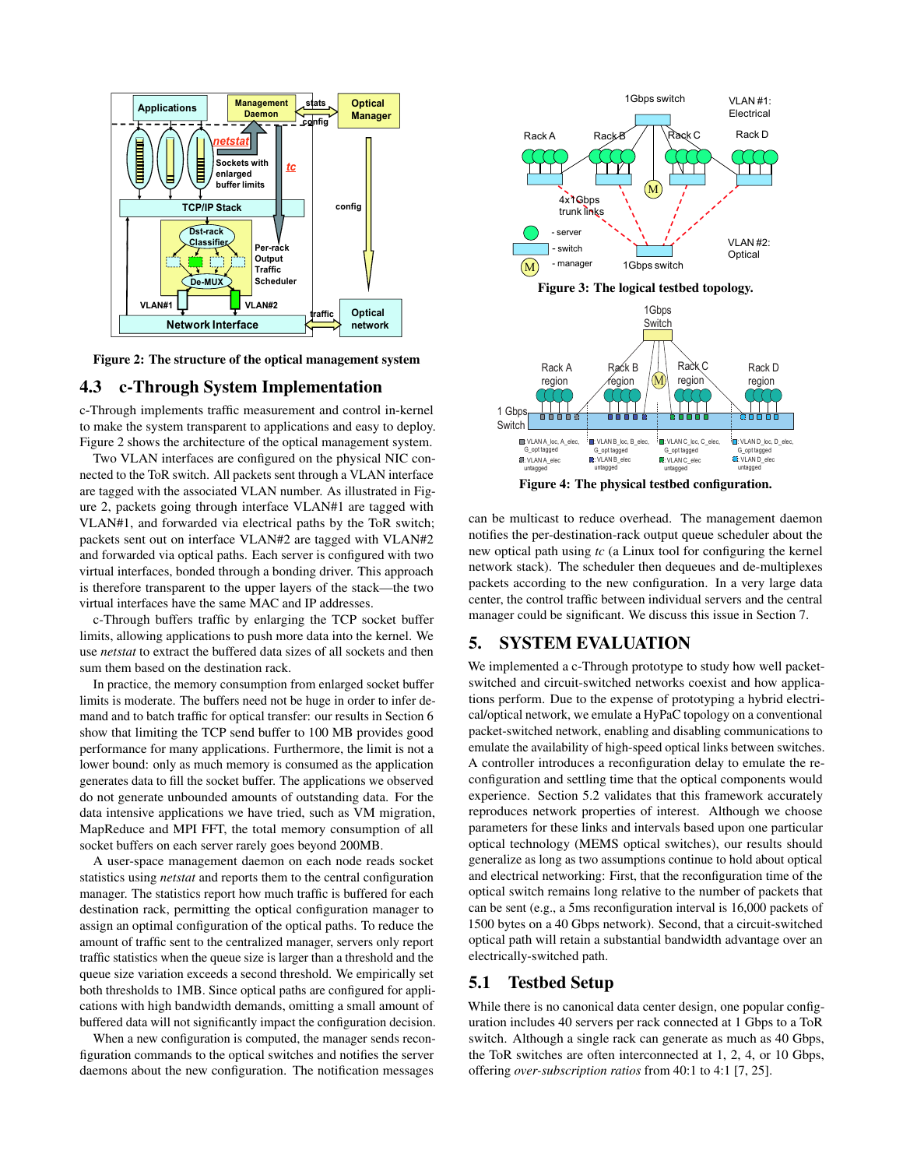

<span id="page-4-1"></span>Figure 2: The structure of the optical management system

### 4.3 c-Through System Implementation

c-Through implements traffic measurement and control in-kernel to make the system transparent to applications and easy to deploy. Figure [2](#page-4-1) shows the architecture of the optical management system.

Two VLAN interfaces are configured on the physical NIC connected to the ToR switch. All packets sent through a VLAN interface are tagged with the associated VLAN number. As illustrated in Figure [2,](#page-4-1) packets going through interface VLAN#1 are tagged with VLAN#1, and forwarded via electrical paths by the ToR switch; packets sent out on interface VLAN#2 are tagged with VLAN#2 and forwarded via optical paths. Each server is configured with two virtual interfaces, bonded through a bonding driver. This approach is therefore transparent to the upper layers of the stack—the two virtual interfaces have the same MAC and IP addresses.

c-Through buffers traffic by enlarging the TCP socket buffer limits, allowing applications to push more data into the kernel. We use *netstat* to extract the buffered data sizes of all sockets and then sum them based on the destination rack.

In practice, the memory consumption from enlarged socket buffer limits is moderate. The buffers need not be huge in order to infer demand and to batch traffic for optical transfer: our results in Section [6](#page-6-0) show that limiting the TCP send buffer to 100 MB provides good performance for many applications. Furthermore, the limit is not a lower bound: only as much memory is consumed as the application generates data to fill the socket buffer. The applications we observed do not generate unbounded amounts of outstanding data. For the data intensive applications we have tried, such as VM migration, MapReduce and MPI FFT, the total memory consumption of all socket buffers on each server rarely goes beyond 200MB.

A user-space management daemon on each node reads socket statistics using *netstat* and reports them to the central configuration manager. The statistics report how much traffic is buffered for each destination rack, permitting the optical configuration manager to assign an optimal configuration of the optical paths. To reduce the amount of traffic sent to the centralized manager, servers only report traffic statistics when the queue size is larger than a threshold and the queue size variation exceeds a second threshold. We empirically set both thresholds to 1MB. Since optical paths are configured for applications with high bandwidth demands, omitting a small amount of buffered data will not significantly impact the configuration decision.

When a new configuration is computed, the manager sends reconfiguration commands to the optical switches and notifies the server daemons about the new configuration. The notification messages

<span id="page-4-2"></span>

Figure 4: The physical testbed configuration.

<span id="page-4-3"></span>can be multicast to reduce overhead. The management daemon notifies the per-destination-rack output queue scheduler about the new optical path using *tc* (a Linux tool for configuring the kernel network stack). The scheduler then dequeues and de-multiplexes packets according to the new configuration. In a very large data center, the control traffic between individual servers and the central manager could be significant. We discuss this issue in Section [7.](#page-8-0)

### <span id="page-4-0"></span>5. SYSTEM EVALUATION

We implemented a c-Through prototype to study how well packetswitched and circuit-switched networks coexist and how applications perform. Due to the expense of prototyping a hybrid electrical/optical network, we emulate a HyPaC topology on a conventional packet-switched network, enabling and disabling communications to emulate the availability of high-speed optical links between switches. A controller introduces a reconfiguration delay to emulate the reconfiguration and settling time that the optical components would experience. Section [5.2](#page-5-0) validates that this framework accurately reproduces network properties of interest. Although we choose parameters for these links and intervals based upon one particular optical technology (MEMS optical switches), our results should generalize as long as two assumptions continue to hold about optical and electrical networking: First, that the reconfiguration time of the optical switch remains long relative to the number of packets that can be sent (e.g., a 5ms reconfiguration interval is 16,000 packets of 1500 bytes on a 40 Gbps network). Second, that a circuit-switched optical path will retain a substantial bandwidth advantage over an electrically-switched path.

### 5.1 Testbed Setup

While there is no canonical data center design, one popular configuration includes 40 servers per rack connected at 1 Gbps to a ToR switch. Although a single rack can generate as much as 40 Gbps, the ToR switches are often interconnected at 1, 2, 4, or 10 Gbps, offering *over-subscription ratios* from 40:1 to 4:1 [\[7,](#page-11-27) [25\]](#page-11-2).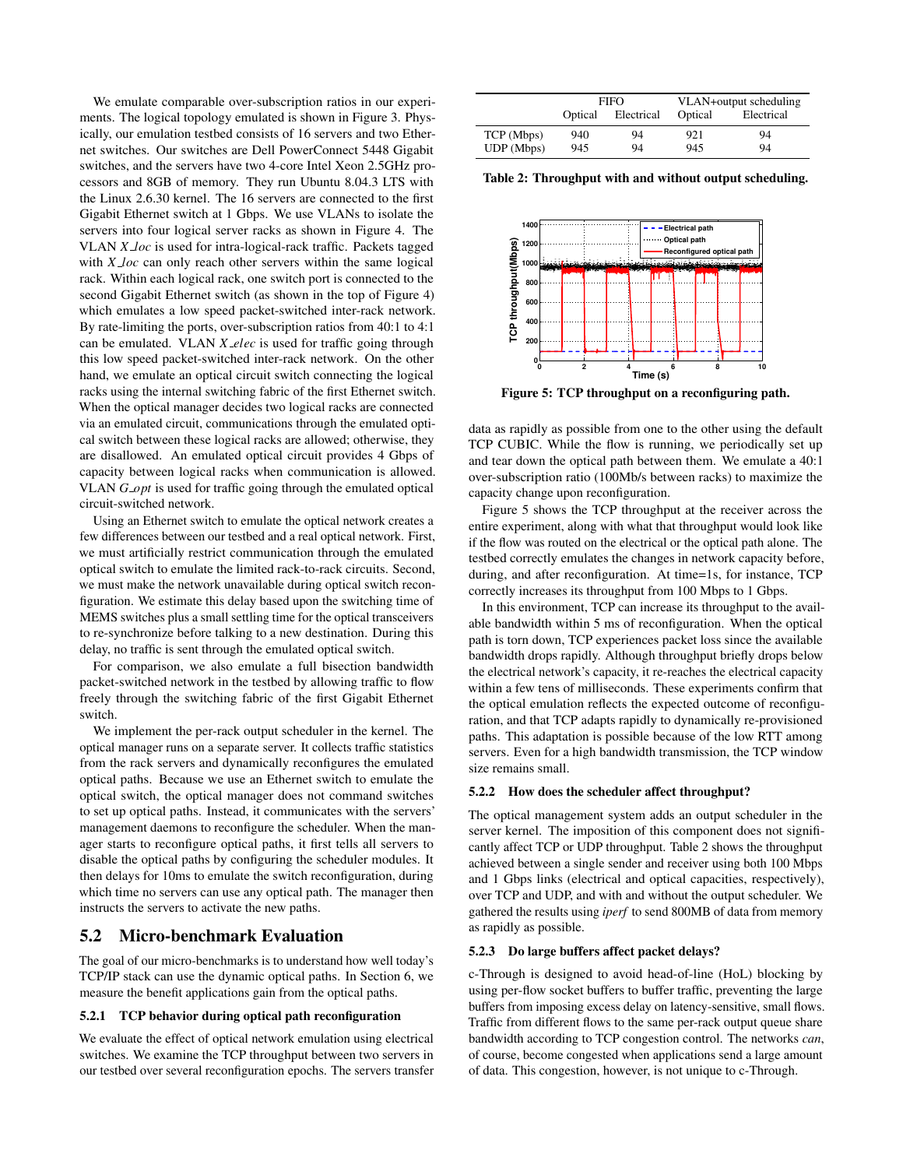We emulate comparable over-subscription ratios in our experiments. The logical topology emulated is shown in Figure [3.](#page-4-2) Physically, our emulation testbed consists of 16 servers and two Ethernet switches. Our switches are Dell PowerConnect 5448 Gigabit switches, and the servers have two 4-core Intel Xeon 2.5GHz processors and 8GB of memory. They run Ubuntu 8.04.3 LTS with the Linux 2.6.30 kernel. The 16 servers are connected to the first Gigabit Ethernet switch at 1 Gbps. We use VLANs to isolate the servers into four logical server racks as shown in Figure [4.](#page-4-3) The VLAN *X loc* is used for intra-logical-rack traffic. Packets tagged with *X loc* can only reach other servers within the same logical rack. Within each logical rack, one switch port is connected to the second Gigabit Ethernet switch (as shown in the top of Figure [4\)](#page-4-3) which emulates a low speed packet-switched inter-rack network. By rate-limiting the ports, over-subscription ratios from 40:1 to 4:1 can be emulated. VLAN *X elec* is used for traffic going through this low speed packet-switched inter-rack network. On the other hand, we emulate an optical circuit switch connecting the logical racks using the internal switching fabric of the first Ethernet switch. When the optical manager decides two logical racks are connected via an emulated circuit, communications through the emulated optical switch between these logical racks are allowed; otherwise, they are disallowed. An emulated optical circuit provides 4 Gbps of capacity between logical racks when communication is allowed. VLAN *G opt* is used for traffic going through the emulated optical circuit-switched network.

Using an Ethernet switch to emulate the optical network creates a few differences between our testbed and a real optical network. First, we must artificially restrict communication through the emulated optical switch to emulate the limited rack-to-rack circuits. Second, we must make the network unavailable during optical switch reconfiguration. We estimate this delay based upon the switching time of MEMS switches plus a small settling time for the optical transceivers to re-synchronize before talking to a new destination. During this delay, no traffic is sent through the emulated optical switch.

For comparison, we also emulate a full bisection bandwidth packet-switched network in the testbed by allowing traffic to flow freely through the switching fabric of the first Gigabit Ethernet switch.

We implement the per-rack output scheduler in the kernel. The optical manager runs on a separate server. It collects traffic statistics from the rack servers and dynamically reconfigures the emulated optical paths. Because we use an Ethernet switch to emulate the optical switch, the optical manager does not command switches to set up optical paths. Instead, it communicates with the servers' management daemons to reconfigure the scheduler. When the manager starts to reconfigure optical paths, it first tells all servers to disable the optical paths by configuring the scheduler modules. It then delays for 10ms to emulate the switch reconfiguration, during which time no servers can use any optical path. The manager then instructs the servers to activate the new paths.

### <span id="page-5-0"></span>5.2 Micro-benchmark Evaluation

The goal of our micro-benchmarks is to understand how well today's TCP/IP stack can use the dynamic optical paths. In Section [6,](#page-6-0) we measure the benefit applications gain from the optical paths.

#### 5.2.1 TCP behavior during optical path reconfiguration

We evaluate the effect of optical network emulation using electrical switches. We examine the TCP throughput between two servers in our testbed over several reconfiguration epochs. The servers transfer

|            | <b>FIFO</b> |            | VLAN+output scheduling |            |
|------------|-------------|------------|------------------------|------------|
|            | Optical     | Electrical | Optical                | Electrical |
| TCP (Mbps) | 940         | 94         | 921                    | 94         |
| UDP (Mbps) | 945         | 94         | 945                    | 94         |

Table 2: Throughput with and without output scheduling.

<span id="page-5-2"></span>

<span id="page-5-1"></span>Figure 5: TCP throughput on a reconfiguring path.

data as rapidly as possible from one to the other using the default TCP CUBIC. While the flow is running, we periodically set up and tear down the optical path between them. We emulate a 40:1 over-subscription ratio (100Mb/s between racks) to maximize the capacity change upon reconfiguration.

Figure [5](#page-5-1) shows the TCP throughput at the receiver across the entire experiment, along with what that throughput would look like if the flow was routed on the electrical or the optical path alone. The testbed correctly emulates the changes in network capacity before, during, and after reconfiguration. At time=1s, for instance, TCP correctly increases its throughput from 100 Mbps to 1 Gbps.

In this environment, TCP can increase its throughput to the available bandwidth within 5 ms of reconfiguration. When the optical path is torn down, TCP experiences packet loss since the available bandwidth drops rapidly. Although throughput briefly drops below the electrical network's capacity, it re-reaches the electrical capacity within a few tens of milliseconds. These experiments confirm that the optical emulation reflects the expected outcome of reconfiguration, and that TCP adapts rapidly to dynamically re-provisioned paths. This adaptation is possible because of the low RTT among servers. Even for a high bandwidth transmission, the TCP window size remains small.

#### 5.2.2 How does the scheduler affect throughput?

The optical management system adds an output scheduler in the server kernel. The imposition of this component does not significantly affect TCP or UDP throughput. Table [2](#page-5-2) shows the throughput achieved between a single sender and receiver using both 100 Mbps and 1 Gbps links (electrical and optical capacities, respectively), over TCP and UDP, and with and without the output scheduler. We gathered the results using *iperf* to send 800MB of data from memory as rapidly as possible.

#### 5.2.3 Do large buffers affect packet delays?

c-Through is designed to avoid head-of-line (HoL) blocking by using per-flow socket buffers to buffer traffic, preventing the large buffers from imposing excess delay on latency-sensitive, small flows. Traffic from different flows to the same per-rack output queue share bandwidth according to TCP congestion control. The networks *can*, of course, become congested when applications send a large amount of data. This congestion, however, is not unique to c-Through.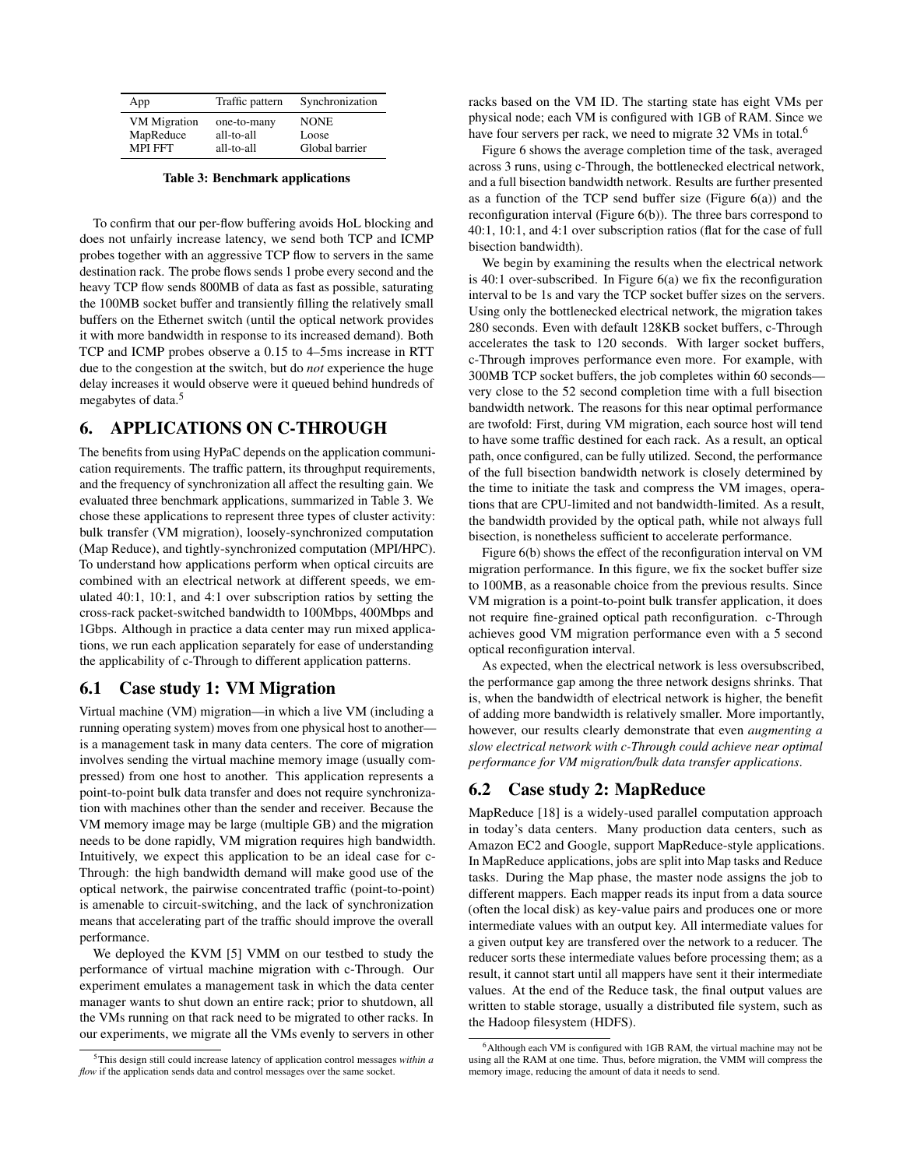| App                 | Traffic pattern | Synchronization |
|---------------------|-----------------|-----------------|
| <b>VM</b> Migration | one-to-many     | <b>NONE</b>     |
| MapReduce           | all-to-all      | Loose           |
| <b>MPI FFT</b>      | all-to-all      | Global barrier  |

Table 3: Benchmark applications

To confirm that our per-flow buffering avoids HoL blocking and does not unfairly increase latency, we send both TCP and ICMP probes together with an aggressive TCP flow to servers in the same destination rack. The probe flows sends 1 probe every second and the heavy TCP flow sends 800MB of data as fast as possible, saturating the 100MB socket buffer and transiently filling the relatively small buffers on the Ethernet switch (until the optical network provides it with more bandwidth in response to its increased demand). Both TCP and ICMP probes observe a 0.15 to 4–5ms increase in RTT due to the congestion at the switch, but do *not* experience the huge delay increases it would observe were it queued behind hundreds of megabytes of data.<sup>[5](#page-6-1)</sup>

# <span id="page-6-0"></span>6. APPLICATIONS ON C-THROUGH

The benefits from using HyPaC depends on the application communication requirements. The traffic pattern, its throughput requirements, and the frequency of synchronization all affect the resulting gain. We evaluated three benchmark applications, summarized in Table [3.](#page-6-2) We chose these applications to represent three types of cluster activity: bulk transfer (VM migration), loosely-synchronized computation (Map Reduce), and tightly-synchronized computation (MPI/HPC). To understand how applications perform when optical circuits are combined with an electrical network at different speeds, we emulated 40:1, 10:1, and 4:1 over subscription ratios by setting the cross-rack packet-switched bandwidth to 100Mbps, 400Mbps and 1Gbps. Although in practice a data center may run mixed applications, we run each application separately for ease of understanding the applicability of c-Through to different application patterns.

### 6.1 Case study 1: VM Migration

Virtual machine (VM) migration—in which a live VM (including a running operating system) moves from one physical host to another is a management task in many data centers. The core of migration involves sending the virtual machine memory image (usually compressed) from one host to another. This application represents a point-to-point bulk data transfer and does not require synchronization with machines other than the sender and receiver. Because the VM memory image may be large (multiple GB) and the migration needs to be done rapidly, VM migration requires high bandwidth. Intuitively, we expect this application to be an ideal case for c-Through: the high bandwidth demand will make good use of the optical network, the pairwise concentrated traffic (point-to-point) is amenable to circuit-switching, and the lack of synchronization means that accelerating part of the traffic should improve the overall performance.

We deployed the KVM [\[5\]](#page-11-28) VMM on our testbed to study the performance of virtual machine migration with c-Through. Our experiment emulates a management task in which the data center manager wants to shut down an entire rack; prior to shutdown, all the VMs running on that rack need to be migrated to other racks. In our experiments, we migrate all the VMs evenly to servers in other <span id="page-6-2"></span>racks based on the VM ID. The starting state has eight VMs per physical node; each VM is configured with 1GB of RAM. Since we have four servers per rack, we need to migrate 32 VMs in total.<sup>[6](#page-6-3)</sup>

Figure [6](#page-7-0) shows the average completion time of the task, averaged across 3 runs, using c-Through, the bottlenecked electrical network, and a full bisection bandwidth network. Results are further presented as a function of the TCP send buffer size (Figure  $6(a)$ ) and the reconfiguration interval (Figure [6\(](#page-7-0)b)). The three bars correspond to 40:1, 10:1, and 4:1 over subscription ratios (flat for the case of full bisection bandwidth).

We begin by examining the results when the electrical network is 40:1 over-subscribed. In Figure [6\(](#page-7-0)a) we fix the reconfiguration interval to be 1s and vary the TCP socket buffer sizes on the servers. Using only the bottlenecked electrical network, the migration takes 280 seconds. Even with default 128KB socket buffers, c-Through accelerates the task to 120 seconds. With larger socket buffers, c-Through improves performance even more. For example, with 300MB TCP socket buffers, the job completes within 60 seconds very close to the 52 second completion time with a full bisection bandwidth network. The reasons for this near optimal performance are twofold: First, during VM migration, each source host will tend to have some traffic destined for each rack. As a result, an optical path, once configured, can be fully utilized. Second, the performance of the full bisection bandwidth network is closely determined by the time to initiate the task and compress the VM images, operations that are CPU-limited and not bandwidth-limited. As a result, the bandwidth provided by the optical path, while not always full bisection, is nonetheless sufficient to accelerate performance.

Figure [6\(](#page-7-0)b) shows the effect of the reconfiguration interval on VM migration performance. In this figure, we fix the socket buffer size to 100MB, as a reasonable choice from the previous results. Since VM migration is a point-to-point bulk transfer application, it does not require fine-grained optical path reconfiguration. c-Through achieves good VM migration performance even with a 5 second optical reconfiguration interval.

As expected, when the electrical network is less oversubscribed, the performance gap among the three network designs shrinks. That is, when the bandwidth of electrical network is higher, the benefit of adding more bandwidth is relatively smaller. More importantly, however, our results clearly demonstrate that even *augmenting a slow electrical network with c-Through could achieve near optimal performance for VM migration/bulk data transfer applications*.

# 6.2 Case study 2: MapReduce

MapReduce [\[18\]](#page-11-29) is a widely-used parallel computation approach in today's data centers. Many production data centers, such as Amazon EC2 and Google, support MapReduce-style applications. In MapReduce applications, jobs are split into Map tasks and Reduce tasks. During the Map phase, the master node assigns the job to different mappers. Each mapper reads its input from a data source (often the local disk) as key-value pairs and produces one or more intermediate values with an output key. All intermediate values for a given output key are transfered over the network to a reducer. The reducer sorts these intermediate values before processing them; as a result, it cannot start until all mappers have sent it their intermediate values. At the end of the Reduce task, the final output values are written to stable storage, usually a distributed file system, such as the Hadoop filesystem (HDFS).

<span id="page-6-1"></span><sup>5</sup>This design still could increase latency of application control messages *within a flow* if the application sends data and control messages over the same socket.

<span id="page-6-3"></span><sup>6</sup>Although each VM is configured with 1GB RAM, the virtual machine may not be using all the RAM at one time. Thus, before migration, the VMM will compress the memory image, reducing the amount of data it needs to send.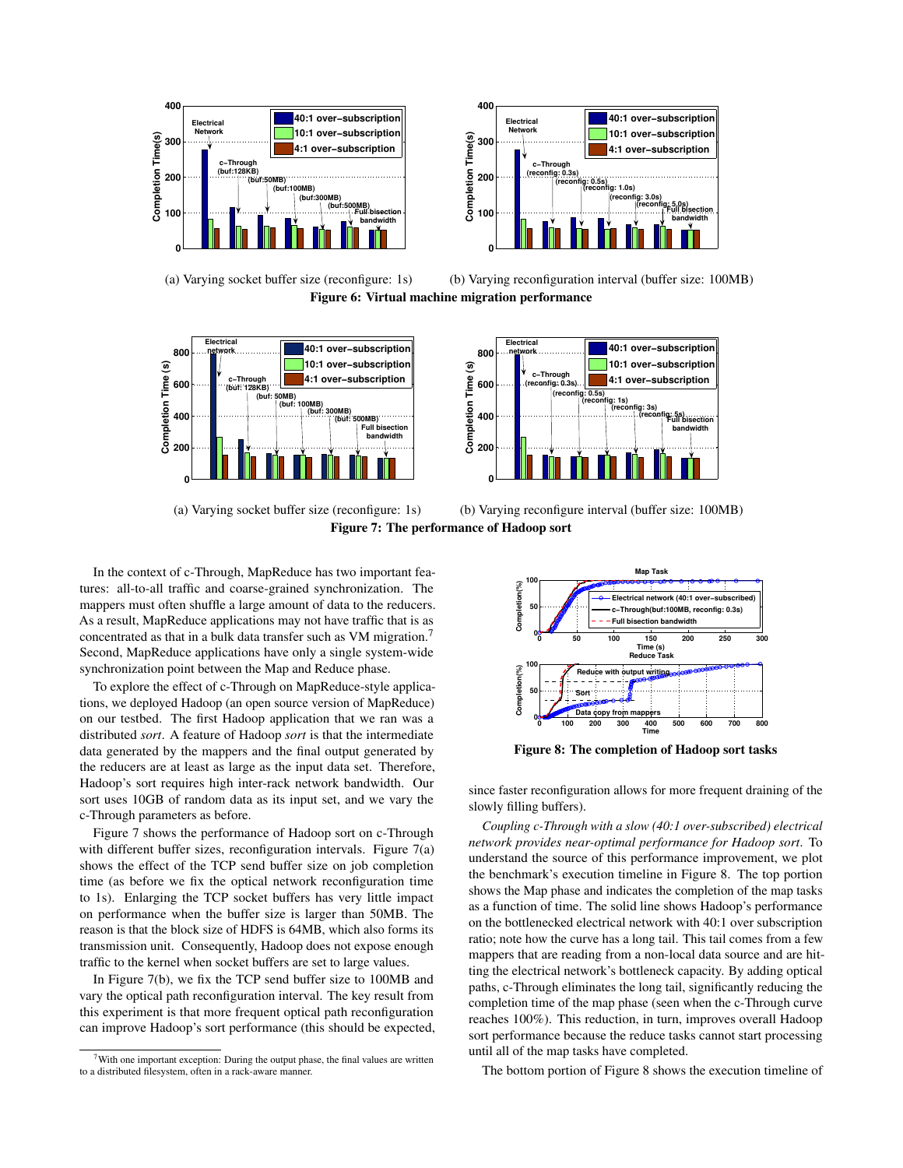



<span id="page-7-0"></span>

(a) Varying socket buffer size (reconfigure: 1s) (b) Varying reconfiguration interval (buffer size: 100MB) Figure 6: Virtual machine migration performance



(a) Varying socket buffer size (reconfigure: 1s) (b) Varying reconfigure interval (buffer size: 100MB) Figure 7: The performance of Hadoop sort

In the context of c-Through, MapReduce has two important features: all-to-all traffic and coarse-grained synchronization. The mappers must often shuffle a large amount of data to the reducers. As a result, MapReduce applications may not have traffic that is as concentrated as that in a bulk data transfer such as VM migration.[7](#page-7-1) Second, MapReduce applications have only a single system-wide synchronization point between the Map and Reduce phase.

To explore the effect of c-Through on MapReduce-style applications, we deployed Hadoop (an open source version of MapReduce) on our testbed. The first Hadoop application that we ran was a distributed *sort*. A feature of Hadoop *sort* is that the intermediate data generated by the mappers and the final output generated by the reducers are at least as large as the input data set. Therefore, Hadoop's sort requires high inter-rack network bandwidth. Our sort uses 10GB of random data as its input set, and we vary the c-Through parameters as before.

Figure [7](#page-7-2) shows the performance of Hadoop sort on c-Through with different buffer sizes, reconfiguration intervals. Figure [7\(](#page-7-2)a) shows the effect of the TCP send buffer size on job completion time (as before we fix the optical network reconfiguration time to 1s). Enlarging the TCP socket buffers has very little impact on performance when the buffer size is larger than 50MB. The reason is that the block size of HDFS is 64MB, which also forms its transmission unit. Consequently, Hadoop does not expose enough traffic to the kernel when socket buffers are set to large values.

In Figure [7\(](#page-7-2)b), we fix the TCP send buffer size to 100MB and vary the optical path reconfiguration interval. The key result from this experiment is that more frequent optical path reconfiguration can improve Hadoop's sort performance (this should be expected,

<span id="page-7-2"></span>

<span id="page-7-3"></span>Figure 8: The completion of Hadoop sort tasks

since faster reconfiguration allows for more frequent draining of the slowly filling buffers).

*Coupling c-Through with a slow (40:1 over-subscribed) electrical network provides near-optimal performance for Hadoop sort*. To understand the source of this performance improvement, we plot the benchmark's execution timeline in Figure [8.](#page-7-3) The top portion shows the Map phase and indicates the completion of the map tasks as a function of time. The solid line shows Hadoop's performance on the bottlenecked electrical network with 40:1 over subscription ratio; note how the curve has a long tail. This tail comes from a few mappers that are reading from a non-local data source and are hitting the electrical network's bottleneck capacity. By adding optical paths, c-Through eliminates the long tail, significantly reducing the completion time of the map phase (seen when the c-Through curve reaches 100%). This reduction, in turn, improves overall Hadoop sort performance because the reduce tasks cannot start processing until all of the map tasks have completed.

The bottom portion of Figure [8](#page-7-3) shows the execution timeline of

<span id="page-7-1"></span> $7$ With one important exception: During the output phase, the final values are written to a distributed filesystem, often in a rack-aware manner.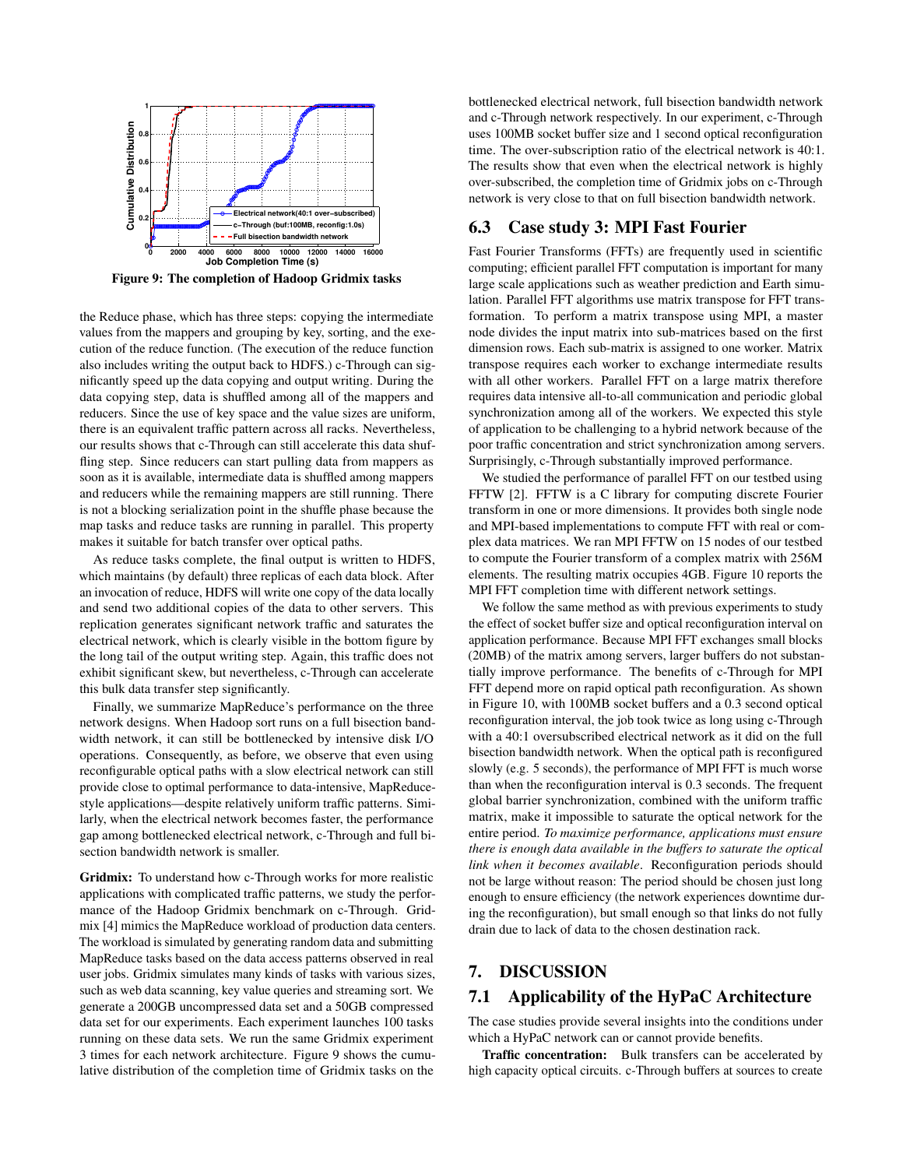

<span id="page-8-1"></span>Figure 9: The completion of Hadoop Gridmix tasks

the Reduce phase, which has three steps: copying the intermediate values from the mappers and grouping by key, sorting, and the execution of the reduce function. (The execution of the reduce function also includes writing the output back to HDFS.) c-Through can significantly speed up the data copying and output writing. During the data copying step, data is shuffled among all of the mappers and reducers. Since the use of key space and the value sizes are uniform, there is an equivalent traffic pattern across all racks. Nevertheless, our results shows that c-Through can still accelerate this data shuffling step. Since reducers can start pulling data from mappers as soon as it is available, intermediate data is shuffled among mappers and reducers while the remaining mappers are still running. There is not a blocking serialization point in the shuffle phase because the map tasks and reduce tasks are running in parallel. This property makes it suitable for batch transfer over optical paths.

As reduce tasks complete, the final output is written to HDFS, which maintains (by default) three replicas of each data block. After an invocation of reduce, HDFS will write one copy of the data locally and send two additional copies of the data to other servers. This replication generates significant network traffic and saturates the electrical network, which is clearly visible in the bottom figure by the long tail of the output writing step. Again, this traffic does not exhibit significant skew, but nevertheless, c-Through can accelerate this bulk data transfer step significantly.

Finally, we summarize MapReduce's performance on the three network designs. When Hadoop sort runs on a full bisection bandwidth network, it can still be bottlenecked by intensive disk I/O operations. Consequently, as before, we observe that even using reconfigurable optical paths with a slow electrical network can still provide close to optimal performance to data-intensive, MapReducestyle applications—despite relatively uniform traffic patterns. Similarly, when the electrical network becomes faster, the performance gap among bottlenecked electrical network, c-Through and full bisection bandwidth network is smaller.

Gridmix: To understand how c-Through works for more realistic applications with complicated traffic patterns, we study the performance of the Hadoop Gridmix benchmark on c-Through. Gridmix [\[4\]](#page-11-30) mimics the MapReduce workload of production data centers. The workload is simulated by generating random data and submitting MapReduce tasks based on the data access patterns observed in real user jobs. Gridmix simulates many kinds of tasks with various sizes, such as web data scanning, key value queries and streaming sort. We generate a 200GB uncompressed data set and a 50GB compressed data set for our experiments. Each experiment launches 100 tasks running on these data sets. We run the same Gridmix experiment 3 times for each network architecture. Figure [9](#page-8-1) shows the cumulative distribution of the completion time of Gridmix tasks on the

bottlenecked electrical network, full bisection bandwidth network and c-Through network respectively. In our experiment, c-Through uses 100MB socket buffer size and 1 second optical reconfiguration time. The over-subscription ratio of the electrical network is 40:1. The results show that even when the electrical network is highly over-subscribed, the completion time of Gridmix jobs on c-Through network is very close to that on full bisection bandwidth network.

# 6.3 Case study 3: MPI Fast Fourier

Fast Fourier Transforms (FFTs) are frequently used in scientific computing; efficient parallel FFT computation is important for many large scale applications such as weather prediction and Earth simulation. Parallel FFT algorithms use matrix transpose for FFT transformation. To perform a matrix transpose using MPI, a master node divides the input matrix into sub-matrices based on the first dimension rows. Each sub-matrix is assigned to one worker. Matrix transpose requires each worker to exchange intermediate results with all other workers. Parallel FFT on a large matrix therefore requires data intensive all-to-all communication and periodic global synchronization among all of the workers. We expected this style of application to be challenging to a hybrid network because of the poor traffic concentration and strict synchronization among servers. Surprisingly, c-Through substantially improved performance.

We studied the performance of parallel FFT on our testbed using FFTW [\[2\]](#page-11-31). FFTW is a C library for computing discrete Fourier transform in one or more dimensions. It provides both single node and MPI-based implementations to compute FFT with real or complex data matrices. We ran MPI FFTW on 15 nodes of our testbed to compute the Fourier transform of a complex matrix with 256M elements. The resulting matrix occupies 4GB. Figure [10](#page-9-0) reports the MPI FFT completion time with different network settings.

We follow the same method as with previous experiments to study the effect of socket buffer size and optical reconfiguration interval on application performance. Because MPI FFT exchanges small blocks (20MB) of the matrix among servers, larger buffers do not substantially improve performance. The benefits of c-Through for MPI FFT depend more on rapid optical path reconfiguration. As shown in Figure [10,](#page-9-0) with 100MB socket buffers and a 0.3 second optical reconfiguration interval, the job took twice as long using c-Through with a 40:1 oversubscribed electrical network as it did on the full bisection bandwidth network. When the optical path is reconfigured slowly (e.g. 5 seconds), the performance of MPI FFT is much worse than when the reconfiguration interval is 0.3 seconds. The frequent global barrier synchronization, combined with the uniform traffic matrix, make it impossible to saturate the optical network for the entire period. *To maximize performance, applications must ensure there is enough data available in the buffers to saturate the optical link when it becomes available*. Reconfiguration periods should not be large without reason: The period should be chosen just long enough to ensure efficiency (the network experiences downtime during the reconfiguration), but small enough so that links do not fully drain due to lack of data to the chosen destination rack.

# <span id="page-8-0"></span>7. DISCUSSION

# 7.1 Applicability of the HyPaC Architecture

The case studies provide several insights into the conditions under which a HyPaC network can or cannot provide benefits.

Traffic concentration: Bulk transfers can be accelerated by high capacity optical circuits. c-Through buffers at sources to create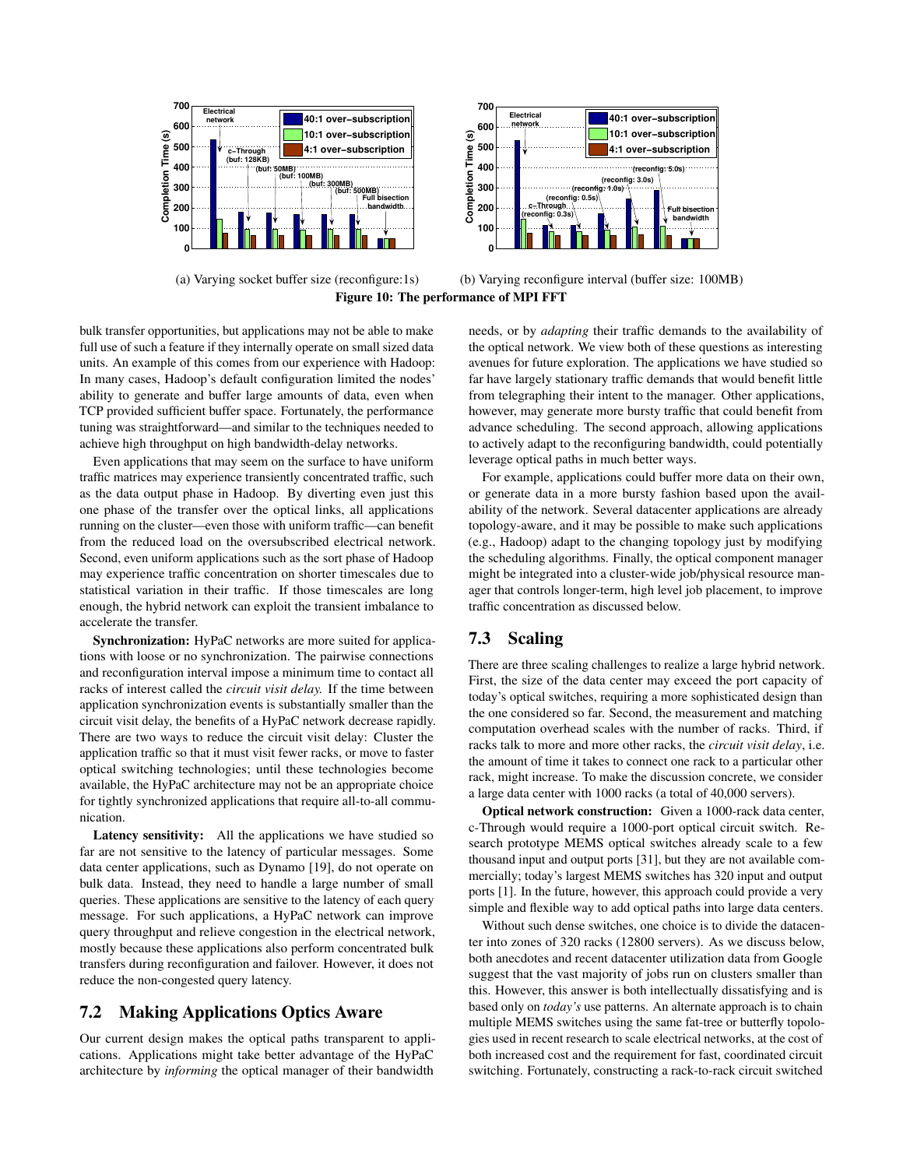

<span id="page-9-0"></span>

(a) Varying socket buffer size (reconfigure:1s) (b) Varying reconfigure interval (buffer size: 100MB) Figure 10: The performance of MPI FFT

bulk transfer opportunities, but applications may not be able to make full use of such a feature if they internally operate on small sized data units. An example of this comes from our experience with Hadoop: In many cases, Hadoop's default configuration limited the nodes' ability to generate and buffer large amounts of data, even when TCP provided sufficient buffer space. Fortunately, the performance tuning was straightforward—and similar to the techniques needed to achieve high throughput on high bandwidth-delay networks.

Even applications that may seem on the surface to have uniform traffic matrices may experience transiently concentrated traffic, such as the data output phase in Hadoop. By diverting even just this one phase of the transfer over the optical links, all applications running on the cluster—even those with uniform traffic—can benefit from the reduced load on the oversubscribed electrical network. Second, even uniform applications such as the sort phase of Hadoop may experience traffic concentration on shorter timescales due to statistical variation in their traffic. If those timescales are long enough, the hybrid network can exploit the transient imbalance to accelerate the transfer.

Synchronization: HyPaC networks are more suited for applications with loose or no synchronization. The pairwise connections and reconfiguration interval impose a minimum time to contact all racks of interest called the *circuit visit delay.* If the time between application synchronization events is substantially smaller than the circuit visit delay, the benefits of a HyPaC network decrease rapidly. There are two ways to reduce the circuit visit delay: Cluster the application traffic so that it must visit fewer racks, or move to faster optical switching technologies; until these technologies become available, the HyPaC architecture may not be an appropriate choice for tightly synchronized applications that require all-to-all communication.

Latency sensitivity: All the applications we have studied so far are not sensitive to the latency of particular messages. Some data center applications, such as Dynamo [\[19\]](#page-11-32), do not operate on bulk data. Instead, they need to handle a large number of small queries. These applications are sensitive to the latency of each query message. For such applications, a HyPaC network can improve query throughput and relieve congestion in the electrical network, mostly because these applications also perform concentrated bulk transfers during reconfiguration and failover. However, it does not reduce the non-congested query latency.

# 7.2 Making Applications Optics Aware

Our current design makes the optical paths transparent to applications. Applications might take better advantage of the HyPaC architecture by *informing* the optical manager of their bandwidth

needs, or by *adapting* their traffic demands to the availability of the optical network. We view both of these questions as interesting avenues for future exploration. The applications we have studied so far have largely stationary traffic demands that would benefit little from telegraphing their intent to the manager. Other applications, however, may generate more bursty traffic that could benefit from advance scheduling. The second approach, allowing applications to actively adapt to the reconfiguring bandwidth, could potentially leverage optical paths in much better ways.

For example, applications could buffer more data on their own, or generate data in a more bursty fashion based upon the availability of the network. Several datacenter applications are already topology-aware, and it may be possible to make such applications (e.g., Hadoop) adapt to the changing topology just by modifying the scheduling algorithms. Finally, the optical component manager might be integrated into a cluster-wide job/physical resource manager that controls longer-term, high level job placement, to improve traffic concentration as discussed below.

# 7.3 Scaling

There are three scaling challenges to realize a large hybrid network. First, the size of the data center may exceed the port capacity of today's optical switches, requiring a more sophisticated design than the one considered so far. Second, the measurement and matching computation overhead scales with the number of racks. Third, if racks talk to more and more other racks, the *circuit visit delay*, i.e. the amount of time it takes to connect one rack to a particular other rack, might increase. To make the discussion concrete, we consider a large data center with 1000 racks (a total of 40,000 servers).

Optical network construction: Given a 1000-rack data center, c-Through would require a 1000-port optical circuit switch. Research prototype MEMS optical switches already scale to a few thousand input and output ports [\[31\]](#page-11-33), but they are not available commercially; today's largest MEMS switches has 320 input and output ports [\[1\]](#page-11-12). In the future, however, this approach could provide a very simple and flexible way to add optical paths into large data centers.

Without such dense switches, one choice is to divide the datacenter into zones of 320 racks (12800 servers). As we discuss below, both anecdotes and recent datacenter utilization data from Google suggest that the vast majority of jobs run on clusters smaller than this. However, this answer is both intellectually dissatisfying and is based only on *today's* use patterns. An alternate approach is to chain multiple MEMS switches using the same fat-tree or butterfly topologies used in recent research to scale electrical networks, at the cost of both increased cost and the requirement for fast, coordinated circuit switching. Fortunately, constructing a rack-to-rack circuit switched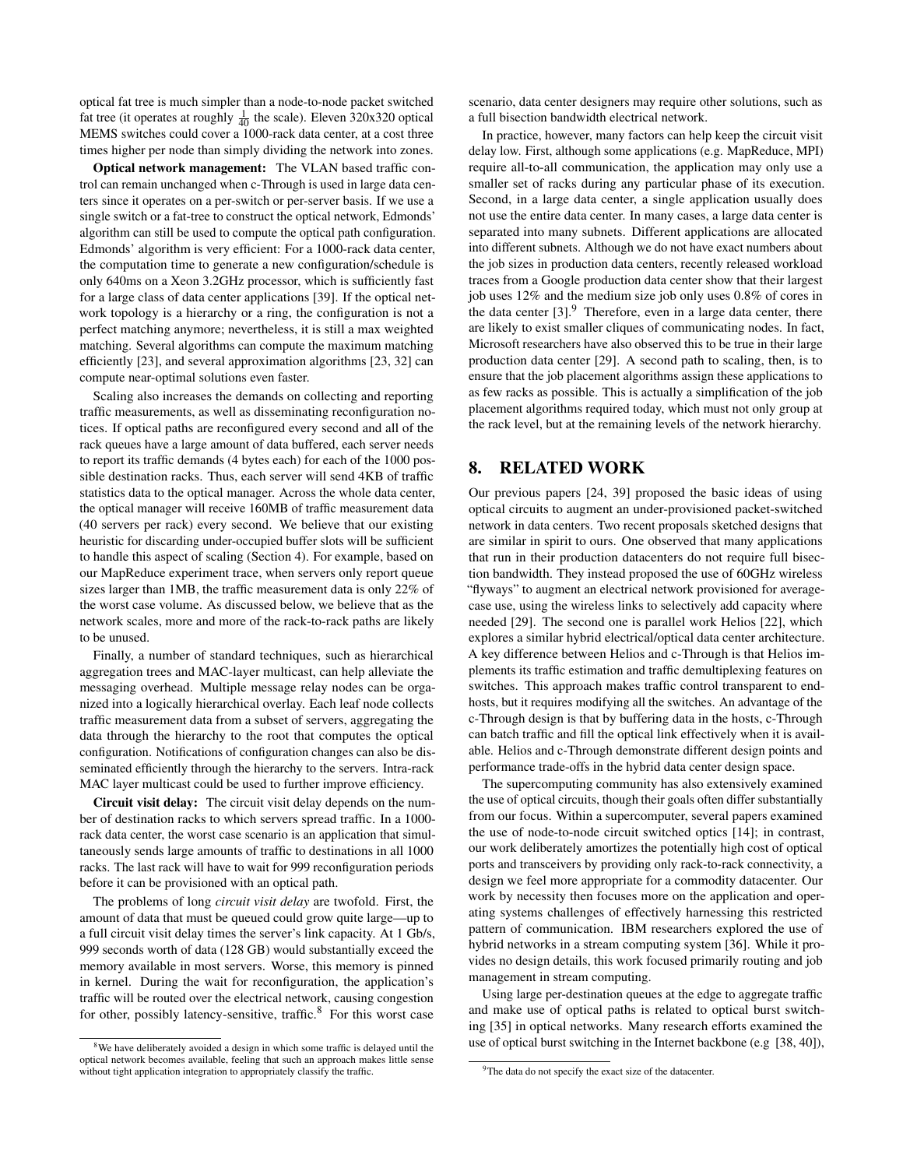optical fat tree is much simpler than a node-to-node packet switched fat tree (it operates at roughly  $\frac{1}{40}$  the scale). Eleven 320x320 optical MEMS switches could cover a 1000-rack data center, at a cost three times higher per node than simply dividing the network into zones.

Optical network management: The VLAN based traffic control can remain unchanged when c-Through is used in large data centers since it operates on a per-switch or per-server basis. If we use a single switch or a fat-tree to construct the optical network, Edmonds' algorithm can still be used to compute the optical path configuration. Edmonds' algorithm is very efficient: For a 1000-rack data center, the computation time to generate a new configuration/schedule is only 640ms on a Xeon 3.2GHz processor, which is sufficiently fast for a large class of data center applications [\[39\]](#page-11-22). If the optical network topology is a hierarchy or a ring, the configuration is not a perfect matching anymore; nevertheless, it is still a max weighted matching. Several algorithms can compute the maximum matching efficiently [\[23\]](#page-11-34), and several approximation algorithms [\[23,](#page-11-34) [32\]](#page-11-26) can compute near-optimal solutions even faster.

Scaling also increases the demands on collecting and reporting traffic measurements, as well as disseminating reconfiguration notices. If optical paths are reconfigured every second and all of the rack queues have a large amount of data buffered, each server needs to report its traffic demands (4 bytes each) for each of the 1000 possible destination racks. Thus, each server will send 4KB of traffic statistics data to the optical manager. Across the whole data center, the optical manager will receive 160MB of traffic measurement data (40 servers per rack) every second. We believe that our existing heuristic for discarding under-occupied buffer slots will be sufficient to handle this aspect of scaling (Section [4\)](#page-3-0). For example, based on our MapReduce experiment trace, when servers only report queue sizes larger than 1MB, the traffic measurement data is only 22% of the worst case volume. As discussed below, we believe that as the network scales, more and more of the rack-to-rack paths are likely to be unused.

Finally, a number of standard techniques, such as hierarchical aggregation trees and MAC-layer multicast, can help alleviate the messaging overhead. Multiple message relay nodes can be organized into a logically hierarchical overlay. Each leaf node collects traffic measurement data from a subset of servers, aggregating the data through the hierarchy to the root that computes the optical configuration. Notifications of configuration changes can also be disseminated efficiently through the hierarchy to the servers. Intra-rack MAC layer multicast could be used to further improve efficiency.

Circuit visit delay: The circuit visit delay depends on the number of destination racks to which servers spread traffic. In a 1000 rack data center, the worst case scenario is an application that simultaneously sends large amounts of traffic to destinations in all 1000 racks. The last rack will have to wait for 999 reconfiguration periods before it can be provisioned with an optical path.

The problems of long *circuit visit delay* are twofold. First, the amount of data that must be queued could grow quite large—up to a full circuit visit delay times the server's link capacity. At 1 Gb/s, 999 seconds worth of data (128 GB) would substantially exceed the memory available in most servers. Worse, this memory is pinned in kernel. During the wait for reconfiguration, the application's traffic will be routed over the electrical network, causing congestion for other, possibly latency-sensitive, traffic.<sup>[8](#page-10-1)</sup> For this worst case

<span id="page-10-1"></span><sup>8</sup>We have deliberately avoided a design in which some traffic is delayed until the optical network becomes available, feeling that such an approach makes little sense without tight application integration to appropriately classify the traffic.

scenario, data center designers may require other solutions, such as a full bisection bandwidth electrical network.

In practice, however, many factors can help keep the circuit visit delay low. First, although some applications (e.g. MapReduce, MPI) require all-to-all communication, the application may only use a smaller set of racks during any particular phase of its execution. Second, in a large data center, a single application usually does not use the entire data center. In many cases, a large data center is separated into many subnets. Different applications are allocated into different subnets. Although we do not have exact numbers about the job sizes in production data centers, recently released workload traces from a Google production data center show that their largest job uses 12% and the medium size job only uses 0.8% of cores in the data center  $[3]$ .<sup>[9](#page-10-2)</sup> Therefore, even in a large data center, there are likely to exist smaller cliques of communicating nodes. In fact, Microsoft researchers have also observed this to be true in their large production data center [\[29\]](#page-11-7). A second path to scaling, then, is to ensure that the job placement algorithms assign these applications to as few racks as possible. This is actually a simplification of the job placement algorithms required today, which must not only group at the rack level, but at the remaining levels of the network hierarchy.

### <span id="page-10-0"></span>8. RELATED WORK

Our previous papers [\[24,](#page-11-36) [39\]](#page-11-22) proposed the basic ideas of using optical circuits to augment an under-provisioned packet-switched network in data centers. Two recent proposals sketched designs that are similar in spirit to ours. One observed that many applications that run in their production datacenters do not require full bisection bandwidth. They instead proposed the use of 60GHz wireless "flyways" to augment an electrical network provisioned for averagecase use, using the wireless links to selectively add capacity where needed [\[29\]](#page-11-7). The second one is parallel work Helios [\[22\]](#page-11-8), which explores a similar hybrid electrical/optical data center architecture. A key difference between Helios and c-Through is that Helios implements its traffic estimation and traffic demultiplexing features on switches. This approach makes traffic control transparent to endhosts, but it requires modifying all the switches. An advantage of the c-Through design is that by buffering data in the hosts, c-Through can batch traffic and fill the optical link effectively when it is available. Helios and c-Through demonstrate different design points and performance trade-offs in the hybrid data center design space.

The supercomputing community has also extensively examined the use of optical circuits, though their goals often differ substantially from our focus. Within a supercomputer, several papers examined the use of node-to-node circuit switched optics [\[14\]](#page-11-5); in contrast, our work deliberately amortizes the potentially high cost of optical ports and transceivers by providing only rack-to-rack connectivity, a design we feel more appropriate for a commodity datacenter. Our work by necessity then focuses more on the application and operating systems challenges of effectively harnessing this restricted pattern of communication. IBM researchers explored the use of hybrid networks in a stream computing system [\[36\]](#page-11-37). While it provides no design details, this work focused primarily routing and job management in stream computing.

Using large per-destination queues at the edge to aggregate traffic and make use of optical paths is related to optical burst switching [\[35\]](#page-11-38) in optical networks. Many research efforts examined the use of optical burst switching in the Internet backbone (e.g [\[38,](#page-11-39) [40\]](#page-11-40)),

<span id="page-10-2"></span><sup>&</sup>lt;sup>9</sup>The data do not specify the exact size of the datacenter.